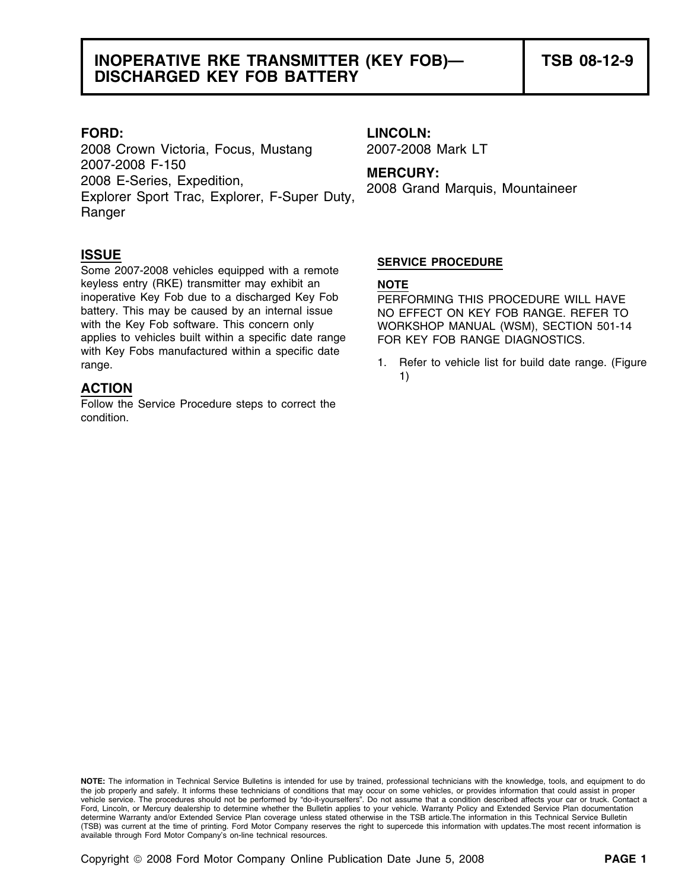2008 Crown Victoria, Focus, Mustang 2007-2008 Mark LT 2007-2008 F-150 **MERCURY:** 2008 E-Series, Expedition, 2008 Grand Marquis, Mountaineer Explorer Sport Trac, Explorer, F-Super Duty, Ranger

**ISSUE**<br>
Some 2007-2008 vehicles equipped with a remote<br> **SERVICE PROCEDURE** keyless entry (RKE) transmitter may exhibit an **NOTE** inoperative Key Fob due to a discharged Key Fob PERFORMING THIS PROCEDURE WILL HAVE battery. This may be caused by an internal issue NO EFFECT ON KEY FOB RANGE. REFER TO with the Key Fob software. This concern only WORKSHOP MANUAL (WSM), SECTION 501-14 applies to vehicles built within a specific date range FOR KEY FOB RANGE DIAGNOSTICS. with Key Fobs manufactured within a specific date

### **ACTION**

Follow the Service Procedure steps to correct the condition.

# **FORD: LINCOLN:**

range. 1. Refer to vehicle list for build date range. (Figure 1)

**NOTE:** The information in Technical Service Bulletins is intended for use by trained, professional technicians with the knowledge, tools, and equipment to do the job properly and safely. It informs these technicians of conditions that may occur on some vehicles, or provides information that could assist in proper vehicle service. The procedures should not be performed by "do-it-yourselfers". Do not assume that a condition described affects your car or truck. Contact a Ford, Lincoln, or Mercury dealership to determine whether the Bulletin applies to your vehicle. Warranty Policy and Extended Service Plan documentation determine Warranty and/or Extended Service Plan coverage unless stated otherwise in the TSB article.The information in this Technical Service Bulletin (TSB) was current at the time of printing. Ford Motor Company reserves the right to supercede this information with updates.The most recent information is available through Ford Motor Company's on-line technical resources.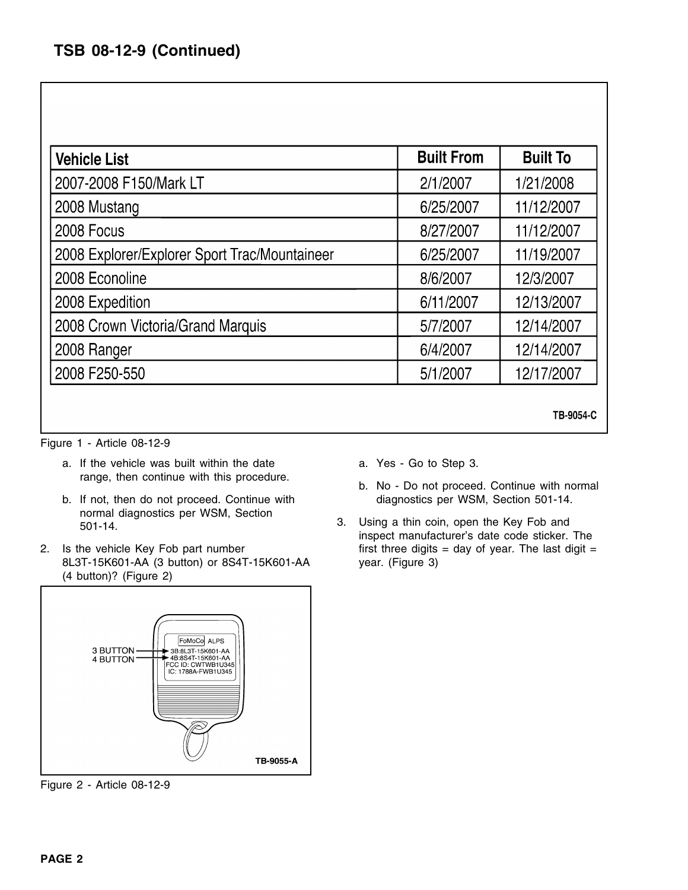| <b>Vehicle List</b>                           | <b>Built From</b> | <b>Built To</b> |
|-----------------------------------------------|-------------------|-----------------|
| 2007-2008 F150/Mark LT                        | 2/1/2007          | 1/21/2008       |
| 2008 Mustang                                  | 6/25/2007         | 11/12/2007      |
| 2008 Focus                                    | 8/27/2007         | 11/12/2007      |
| 2008 Explorer/Explorer Sport Trac/Mountaineer | 6/25/2007         | 11/19/2007      |
| 2008 Econoline                                | 8/6/2007          | 12/3/2007       |
| 2008 Expedition                               | 6/11/2007         | 12/13/2007      |
| 2008 Crown Victoria/Grand Marquis             | 5/7/2007          | 12/14/2007      |
| 2008 Ranger                                   | 6/4/2007          | 12/14/2007      |
| 2008 F250-550                                 | 5/1/2007          | 12/17/2007      |

Figure 1 - Article 08-12-9

- a. If the vehicle was built within the date **a.** Yes Go to Step 3.
- b. If not, then do not proceed. Continue with diagnostics per WSM, Section 501-14. normal diagnostics per WSM, Section 3. Using a thin coin, open the Key Fob and 501-14.
- 2. Is the vehicle Key Fob part number first three digits = day of year. The last digit = 8L3T-15K601-AA (3 button) or 8S4T-15K601-AA year. (Figure 3) (4 button)? (Figure 2)



Figure 2 - Article 08-12-9

- 
- range, then continue with this procedure.<br>b. No Do not proceed. Continue with normal

TB-9054-C

inspect manufacturer's date code sticker. The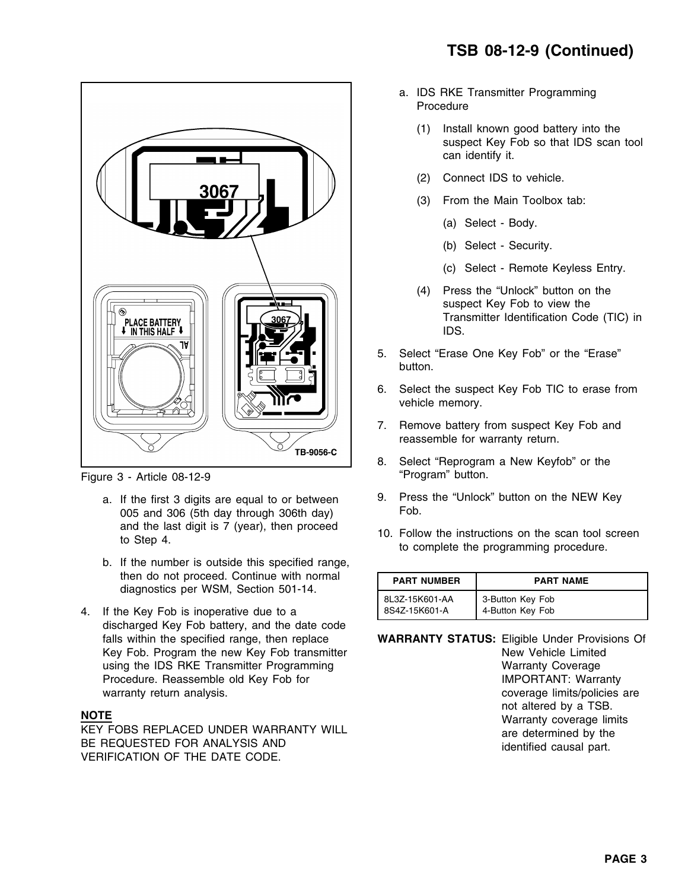

Figure 3 - Article 08-12-9 **The Contract of Contract Article 18-12-9** "Program" button.

- 005 and 306 (5th day through 306th day) and the last digit is 7 (year), then proceed
- b. If the number is outside this specified range, then do not proceed. Continue with normal diagnostics per WSM, Section 501-14.
- 4. If the Key Fob is inoperative due to a discharged Key Fob battery, and the date code falls within the specified range, then replace **WARRANTY STATUS:** Eligible Under Provisions Of Key Fob. Program the new Key Fob transmitter New Yehicle Limited using the IDS RKE Transmitter Programming variance was a memory coverage Procedure. Reassemble old Key Fob for **IMPORTANT:** Warranty

- a. IDS RKE Transmitter Programming Procedure
	- (1) Install known good battery into the suspect Key Fob so that IDS scan tool can identify it.
	- (2) Connect IDS to vehicle.
	- (3) From the Main Toolbox tab:
		- (a) Select Body.
		- (b) Select Security.
		- (c) Select Remote Keyless Entry.
	- (4) Press the "Unlock" button on the suspect Key Fob to view the Transmitter Identification Code (TIC) in IDS.
- 5. Select "Erase One Key Fob" or the "Erase" button.
- 6. Select the suspect Key Fob TIC to erase from vehicle memory.
- 7. Remove battery from suspect Key Fob and reassemble for warranty return.
- 8. Select "Reprogram a New Keyfob" or the
- a. If the first 3 digits are equal to or between 9. Press the "Unlock" button on the NEW Key<br>005 and 306 (5th day through 306th day) Fob.
	- and the last digit is 7 (year), then proceed 10. Follow the instructions on the scan tool screen to Step 4.

| <b>PART NUMBER</b> | <b>PART NAME</b> |
|--------------------|------------------|
| 8L3Z-15K601-AA     | 3-Button Key Fob |
| 8S4Z-15K601-A      | 4-Button Key Fob |

warranty return analysis. The coverage limits/policies are coverage limits/policies are NOTE<br>
NOTE MATE WARRANTY WILL **AREANTY WILL AREANTY WILL AREANTY WILL AREANTY WILL AREANTY WILL AREANTY OVER AND SULTAN<br>
BE REQUESTED FOR ANALYSIS AND identified causal part.<br>VERIFICATION OF THE DATE CODE.**